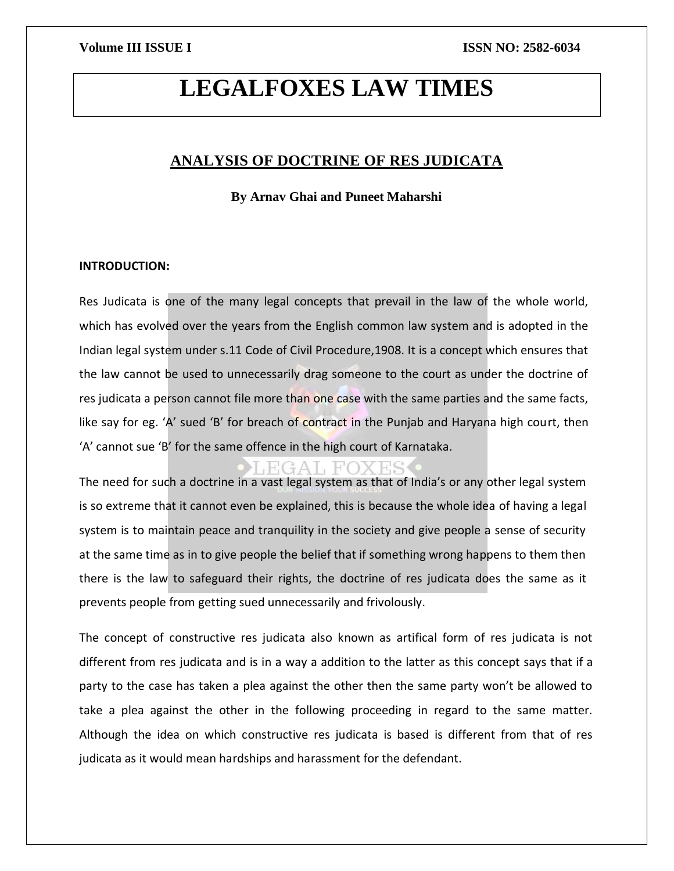# **LEGALFOXES LAW TIMES**

### **ANALYSIS OF DOCTRINE OF RES JUDICATA**

**By Arnav Ghai and Puneet Maharshi**

#### **INTRODUCTION:**

Res Judicata is one of the many legal concepts that prevail in the law of the whole world, which has evolved over the years from the English common law system and is adopted in the Indian legal system under s.11 Code of Civil Procedure,1908. It is a concept which ensures that the law cannot be used to unnecessarily drag someone to the court as under the doctrine of res judicata a person cannot file more than one case with the same parties and the same facts, like say for eg. 'A' sued 'B' for breach of contract in the Punjab and Haryana high court, then 'A' cannot sue 'B' for the same offence in the high court of Karnataka.

The need for such a doctrine in a vast legal system as that of India's or any other legal system is so extreme that it cannot even be explained, this is because the whole idea of having a legal system is to maintain peace and tranquility in the society and give people a sense of security at the same time as in to give people the belief that if something wrong happens to them then there is the law to safeguard their rights, the doctrine of res judicata does the same as it prevents people from getting sued unnecessarily and frivolously.

The concept of constructive res judicata also known as artifical form of res judicata is not different from res judicata and is in a way a addition to the latter as this concept says that if a party to the case has taken a plea against the other then the same party won't be allowed to take a plea against the other in the following proceeding in regard to the same matter. Although the idea on which constructive res judicata is based is different from that of res judicata as it would mean hardships and harassment for the defendant.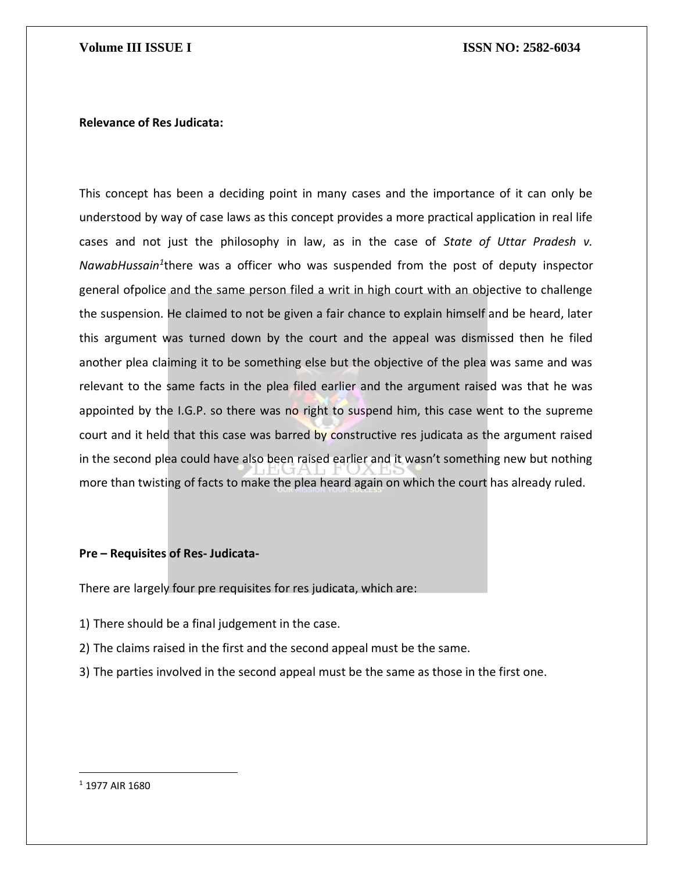#### **Relevance of Res Judicata:**

This concept has been a deciding point in many cases and the importance of it can only be understood by way of case laws as this concept provides a more practical application in real life cases and not just the philosophy in law, as in the case of *State of Uttar Pradesh v. NawabHussain<sup>1</sup>* there was a officer who was suspended from the post of deputy inspector general ofpolice and the same person filed a writ in high court with an objective to challenge the suspension. He claimed to not be given a fair chance to explain himself and be heard, later this argument was turned down by the court and the appeal was dismissed then he filed another plea claiming it to be something else but the objective of the plea was same and was relevant to the same facts in the plea filed earlier and the argument raised was that he was appointed by the I.G.P. so there was no right to suspend him, this case went to the supreme court and it held that this case was barred by constructive res judicata as the argument raised in the second plea could have also been raised earlier and it wasn't something new but nothing more than twisting of facts to make the plea heard again on which the court has already ruled.

### **Pre – Requisites of Res- Judicata-**

There are largely four pre requisites for res judicata, which are:

- 1) There should be a final judgement in the case.
- 2) The claims raised in the first and the second appeal must be the same.
- 3) The parties involved in the second appeal must be the same as those in the first one.

<sup>1</sup> 1977 AIR 1680

 $\overline{a}$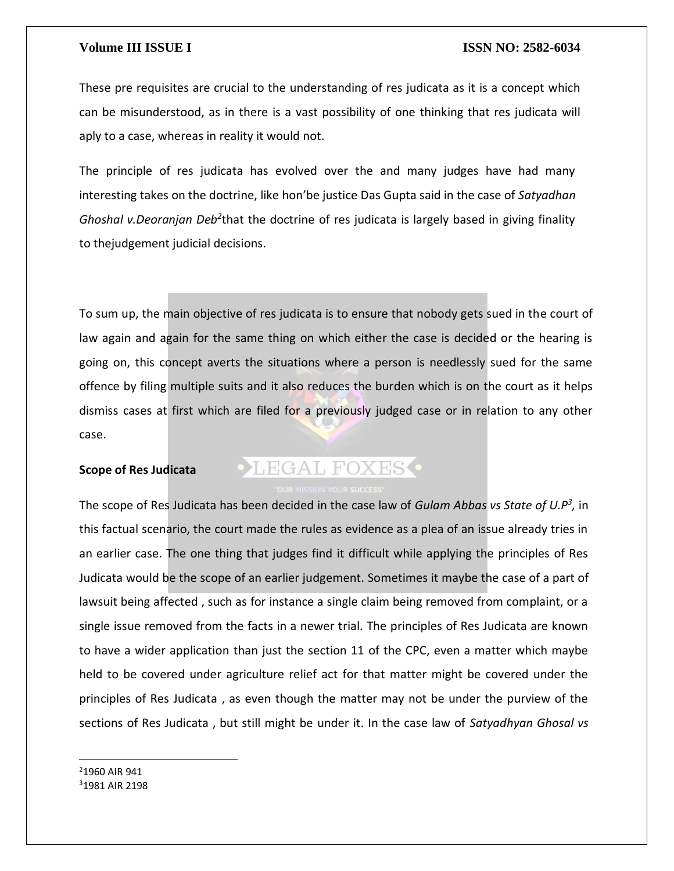These pre requisites are crucial to the understanding of res judicata as it is a concept which can be misunderstood, as in there is a vast possibility of one thinking that res judicata will aply to a case, whereas in reality it would not.

The principle of res judicata has evolved over the and many judges have had many interesting takes on the doctrine, like hon'be justice Das Gupta said in the case of *Satyadhan*  Ghoshal v.Deoranjan Deb<sup>2</sup>that the doctrine of res judicata is largely based in giving finality to thejudgement judicial decisions.

To sum up, the main objective of res judicata is to ensure that nobody gets sued in the court of law again and again for the same thing on which either the case is decided or the hearing is going on, this concept averts the situations where a person is needlessly sued for the same offence by filing multiple suits and it also reduces the burden which is on the court as it helps dismiss cases at first which are filed for a previously judged case or in relation to any other case.

#### **Scope of Res Judicata**

## **OLEGAL FOXES**

The scope of Res Judicata has been decided in the case law of *Gulam Abbas vs State of U.P<sup>3</sup> ,* in this factual scenario, the court made the rules as evidence as a plea of an issue already tries in an earlier case. The one thing that judges find it difficult while applying the principles of Res Judicata would be the scope of an earlier judgement. Sometimes it maybe the case of a part of lawsuit being affected , such as for instance a single claim being removed from complaint, or a single issue removed from the facts in a newer trial. The principles of Res Judicata are known to have a wider application than just the section 11 of the CPC, even a matter which maybe held to be covered under agriculture relief act for that matter might be covered under the principles of Res Judicata , as even though the matter may not be under the purview of the sections of Res Judicata , but still might be under it. In the case law of *Satyadhyan Ghosal vs* 

<sup>2</sup>1960 AIR 941 31981 AIR 2198

 $\overline{\phantom{a}}$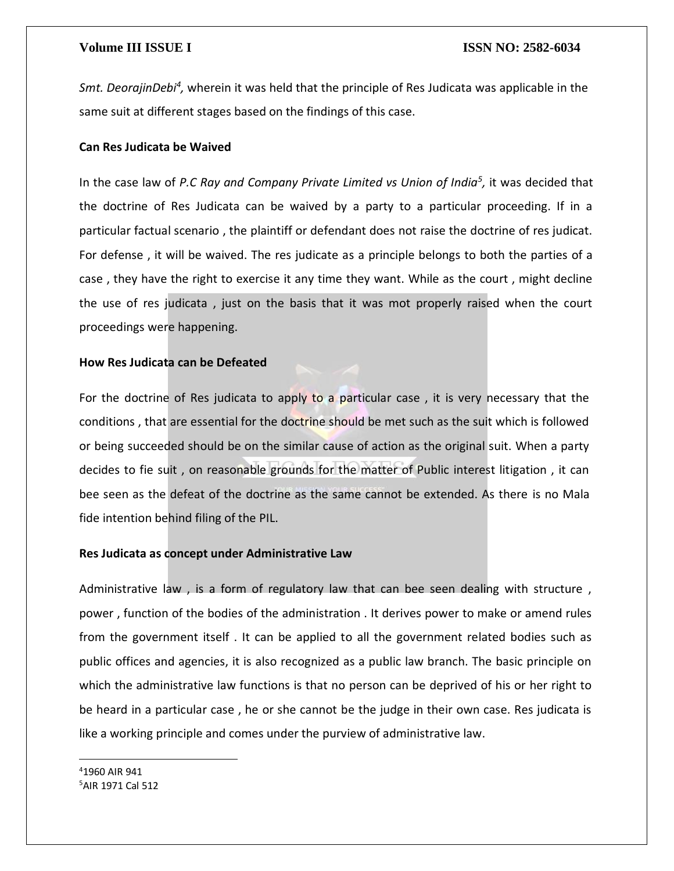Smt. DeorajinDebi<sup>4</sup>, wherein it was held that the principle of Res Judicata was applicable in the same suit at different stages based on the findings of this case.

### **Can Res Judicata be Waived**

In the case law of *P.C Ray and Company Private Limited vs Union of India<sup>5</sup> ,* it was decided that the doctrine of Res Judicata can be waived by a party to a particular proceeding. If in a particular factual scenario , the plaintiff or defendant does not raise the doctrine of res judicat. For defense , it will be waived. The res judicate as a principle belongs to both the parties of a case , they have the right to exercise it any time they want. While as the court , might decline the use of res judicata , just on the basis that it was mot properly raised when the court proceedings were happening.

### **How Res Judicata can be Defeated**

For the doctrine of Res judicata to apply to a particular case, it is very necessary that the conditions, that are essential for the doctrine should be met such as the suit which is followed or being succeeded should be on the similar cause of action as the original suit. When a party decides to fie suit , on reasonable grounds for the matter of Public interest litigation , it can bee seen as the defeat of the doctrine as the same cannot be extended. As there is no Mala fide intention behind filing of the PIL.

#### **Res Judicata as concept under Administrative Law**

Administrative law, is a form of regulatory law that can bee seen dealing with structure, power , function of the bodies of the administration . It derives power to make or amend rules from the government itself . It can be applied to all the government related bodies such as public offices and agencies, it is also recognized as a public law branch. The basic principle on which the administrative law functions is that no person can be deprived of his or her right to be heard in a particular case , he or she cannot be the judge in their own case. Res judicata is like a working principle and comes under the purview of administrative law.

<sup>4</sup>1960 AIR 941 5AIR 1971 Cal 512

 $\overline{\phantom{a}}$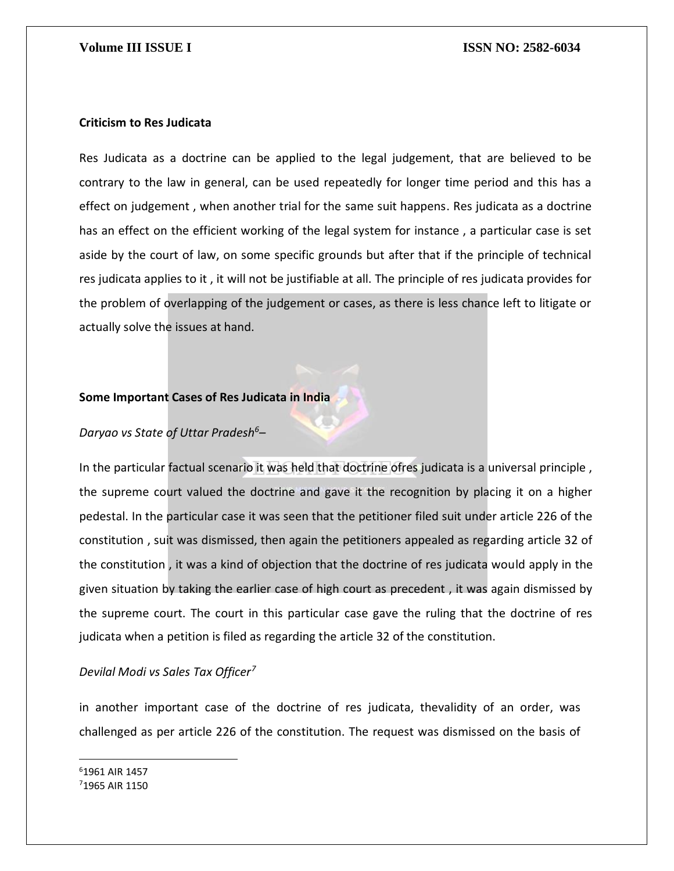#### **Criticism to Res Judicata**

Res Judicata as a doctrine can be applied to the legal judgement, that are believed to be contrary to the law in general, can be used repeatedly for longer time period and this has a effect on judgement , when another trial for the same suit happens. Res judicata as a doctrine has an effect on the efficient working of the legal system for instance , a particular case is set aside by the court of law, on some specific grounds but after that if the principle of technical res judicata applies to it , it will not be justifiable at all. The principle of res judicata provides for the problem of overlapping of the judgement or cases, as there is less chance left to litigate or actually solve the issues at hand.

#### **Some Important Cases of Res Judicata in India**

### *Daryao vs State of Uttar Pradesh<sup>6</sup>*–

In the particular factual scenario it was held that doctrine ofres judicata is a universal principle , the supreme court valued the doctrine and gave it the recognition by placing it on a higher pedestal. In the particular case it was seen that the petitioner filed suit under article 226 of the constitution , suit was dismissed, then again the petitioners appealed as regarding article 32 of the constitution , it was a kind of objection that the doctrine of res judicata would apply in the given situation by taking the earlier case of high court as precedent , it was again dismissed by the supreme court. The court in this particular case gave the ruling that the doctrine of res judicata when a petition is filed as regarding the article 32 of the constitution.

### *Devilal Modi vs Sales Tax Officer<sup>7</sup>*

in another important case of the doctrine of res judicata, thevalidity of an order, was challenged as per article 226 of the constitution. The request was dismissed on the basis of

<sup>6</sup>1961 AIR 1457 71965 AIR 1150

 $\overline{\phantom{a}}$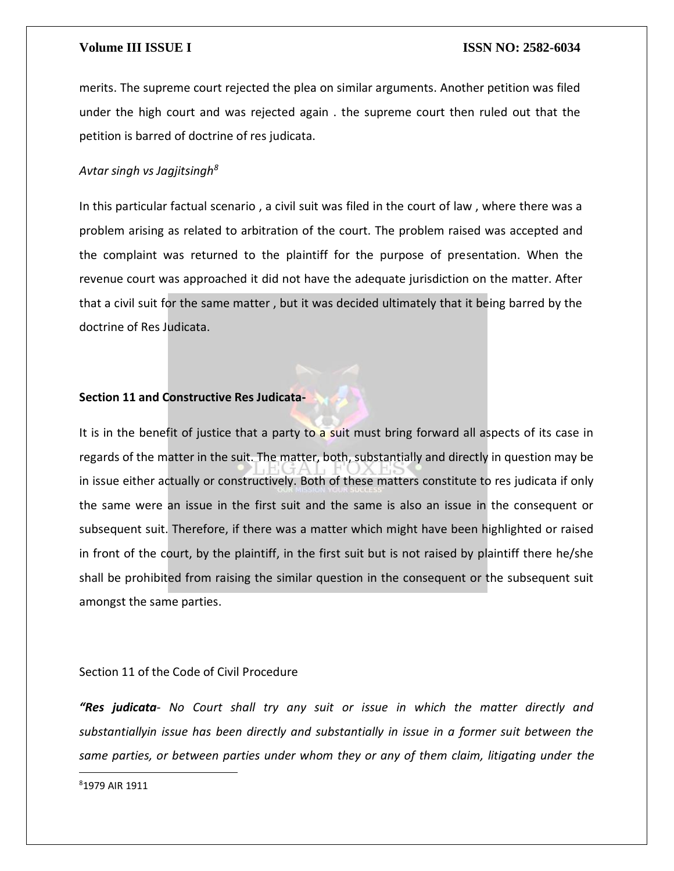merits. The supreme court rejected the plea on similar arguments. Another petition was filed under the high court and was rejected again . the supreme court then ruled out that the petition is barred of doctrine of res judicata.

#### *Avtar singh vs Jagjitsingh<sup>8</sup>*

In this particular factual scenario , a civil suit was filed in the court of law , where there was a problem arising as related to arbitration of the court. The problem raised was accepted and the complaint was returned to the plaintiff for the purpose of presentation. When the revenue court was approached it did not have the adequate jurisdiction on the matter. After that a civil suit for the same matter , but it was decided ultimately that it being barred by the doctrine of Res Judicata.

#### **Section 11 and Constructive Res Judicata-**

It is in the benefit of justice that a party to a suit must bring forward all aspects of its case in regards of the matter in the suit. The matter, both, substantially and directly in question may be in issue either actually or constructively. Both of these matters constitute to res judicata if only the same were an issue in the first suit and the same is also an issue in the consequent or subsequent suit. Therefore, if there was a matter which might have been highlighted or raised in front of the court, by the plaintiff, in the first suit but is not raised by plaintiff there he/she shall be prohibited from raising the similar question in the consequent or the subsequent suit amongst the same parties.

#### Section 11 of the Code of Civil Procedure

*"Res judicata- No Court shall try any suit or issue in which the matter directly and substantiallyin issue has been directly and substantially in issue in a former suit between the same parties, or between parties under whom they or any of them claim, litigating under the* 

81979 AIR 1911

 $\overline{a}$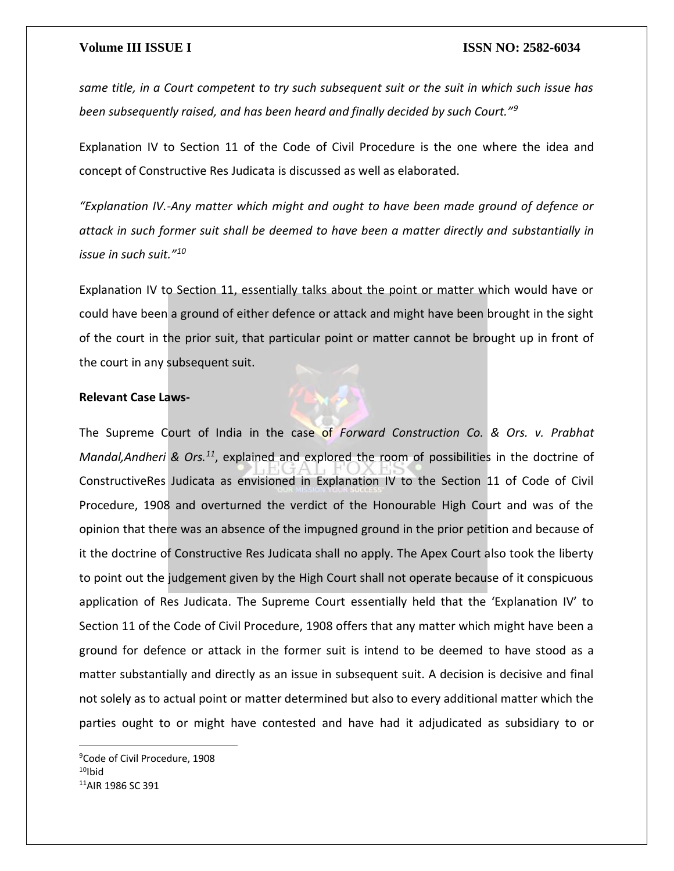*same title, in a Court competent to try such subsequent suit or the suit in which such issue has been subsequently raised, and has been heard and finally decided by such Court."<sup>9</sup>*

Explanation IV to Section 11 of the Code of Civil Procedure is the one where the idea and concept of Constructive Res Judicata is discussed as well as elaborated.

*"Explanation IV.-Any matter which might and ought to have been made ground of defence or attack in such former suit shall be deemed to have been a matter directly and substantially in issue in such suit."<sup>10</sup>*

Explanation IV to Section 11, essentially talks about the point or matter which would have or could have been a ground of either defence or attack and might have been brought in the sight of the court in the prior suit, that particular point or matter cannot be brought up in front of the court in any subsequent suit.

### **Relevant Case Laws-**



<sup>9</sup>Code of Civil Procedure, 1908  $10$ Ibid <sup>11</sup>AIR 1986 SC 391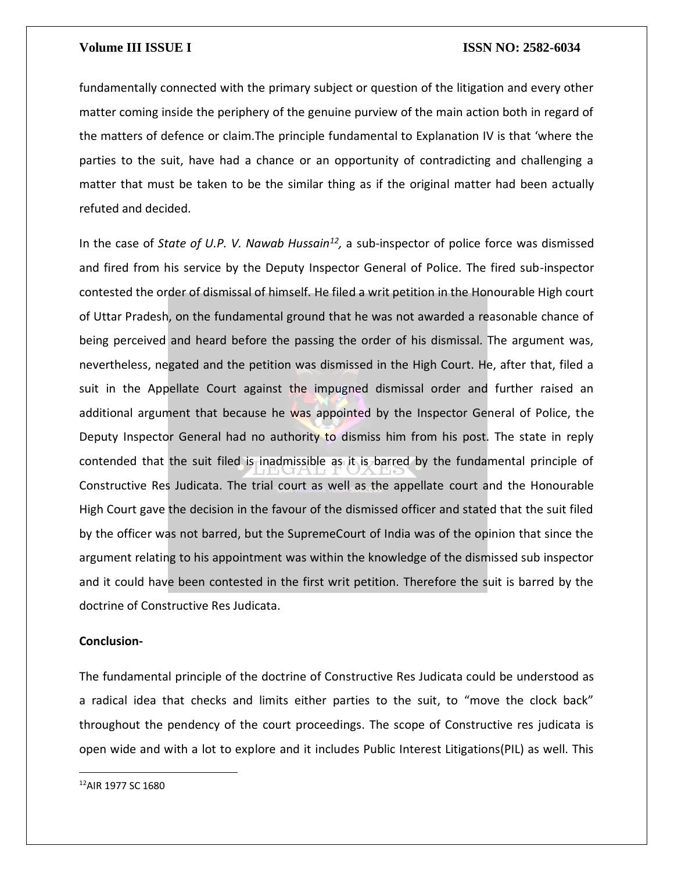fundamentally connected with the primary subject or question of the litigation and every other matter coming inside the periphery of the genuine purview of the main action both in regard of the matters of defence or claim.The principle fundamental to Explanation IV is that 'where the parties to the suit, have had a chance or an opportunity of contradicting and challenging a matter that must be taken to be the similar thing as if the original matter had been actually refuted and decided.

In the case of *State of U.P. V. Nawab Hussain<sup>12</sup>*, a sub-inspector of police force was dismissed and fired from his service by the Deputy Inspector General of Police. The fired sub-inspector contested the order of dismissal of himself. He filed a writ petition in the Honourable High court of Uttar Pradesh, on the fundamental ground that he was not awarded a reasonable chance of being perceived and heard before the passing the order of his dismissal. The argument was, nevertheless, negated and the petition was dismissed in the High Court. He, after that, filed a suit in the Appellate Court against the impugned dismissal order and further raised an additional argument that because he was appointed by the Inspector General of Police, the Deputy Inspector General had no authority to dismiss him from his post. The state in reply contended that the suit filed is inadmissible as it is barred by the fundamental principle of Constructive Res Judicata. The trial court as well as the appellate court and the Honourable High Court gave the decision in the favour of the dismissed officer and stated that the suit filed by the officer was not barred, but the SupremeCourt of India was of the opinion that since the argument relating to his appointment was within the knowledge of the dismissed sub inspector and it could have been contested in the first writ petition. Therefore the suit is barred by the doctrine of Constructive Res Judicata.

### **Conclusion-**

The fundamental principle of the doctrine of Constructive Res Judicata could be understood as a radical idea that checks and limits either parties to the suit, to "move the clock back" throughout the pendency of the court proceedings. The scope of Constructive res judicata is open wide and with a lot to explore and it includes Public Interest Litigations(PIL) as well. This

12AIR 1977 SC 1680

 $\overline{a}$